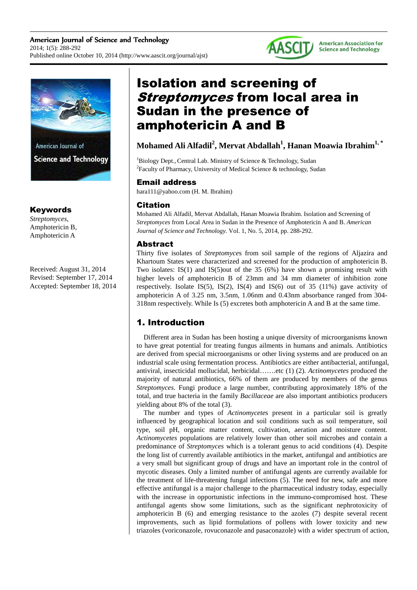



American Journal of **Science and Technology** 

# Keywords

*Streptomyces*, Amphotericin B, Amphotericin A

Received: August 31, 2014 Revised: September 17, 2014 Accepted: September 18, 2014

# Isolation and screening of **Streptomyces from local area in** Sudan in the presence of amphotericin A and B

# **Mohamed Ali Alfadil<sup>2</sup> , Mervat Abdallah<sup>1</sup> , Hanan Moawia Ibrahim1, \***

 $1B$ iology Dept., Central Lab. Ministry of Science & Technology, Sudan <sup>2</sup> Faculty of Pharmacy, University of Medical Science & technology, Sudan

# Email address

hara111@yahoo.com (H. M. Ibrahim)

# **Citation**

Mohamed Ali Alfadil, Mervat Abdallah, Hanan Moawia Ibrahim. Isolation and Screening of *Streptomyces* from Local Area in Sudan in the Presence of Amphotericin A and B. *American Journal of Science and Technology.* Vol. 1, No. 5, 2014, pp. 288-292.

# Abstract

Thirty five isolates of *Streptomyce*s from soil sample of the regions of Aljazira and Khartoum States were characterized and screened for the production of amphotericin B. Two isolates: IS(1) and IS(5)out of the 35 (6%) have shown a promising result with higher levels of amphotericin B of 23mm and 34 mm diameter of inhibition zone respectively. Isolate IS(5), IS(2), IS(4) and IS(6) out of  $35$  (11%) gave activity of amphotericin A of 3.25 nm, 3.5nm, 1.06nm and 0.43nm absorbance ranged from 304- 318nm respectively. While Is (5) excretes both amphotericin A and B at the same time.

# 1. Introduction

Different area in Sudan has been hosting a unique diversity of microorganisms known to have great potential for treating fungus ailments in humans and animals. Antibiotics are derived from special microorganisms or other living systems and are produced on an industrial scale using fermentation process. Antibiotics are either antibacterial, antifungal, antiviral, insecticidal mollucidal, herbicidal…….etc (1) (2). *Actinomycetes* produced the majority of natural antibiotics, 66% of them are produced by members of the genus *Streptomyces*. Fungi produce a large number, contributing approximately 18% of the total, and true bacteria in the family *Bacillaceae* are also important antibiotics producers yielding about 8% of the total (3).

The number and types of *Actinomycete*s present in a particular soil is greatly influenced by geographical location and soil conditions such as soil temperature, soil type, soil pH, organic matter content, cultivation, aeration and moisture content. *Actinomycetes* populations are relatively lower than other soil microbes and contain a predominance of *Streptomyces* which is a tolerant genus to acid conditions (4). Despite the long list of currently available antibiotics in the market, antifungal and antibiotics are a very small but significant group of drugs and have an important role in the control of mycotic diseases. Only a limited number of antifungal agents are currently available for the treatment of life-threatening fungal infections (5). The need for new, safe and more effective antifungal is a major challenge to the pharmaceutical industry today, especially with the increase in opportunistic infections in the immuno-compromised host. These antifungal agents show some limitations, such as the significant nephrotoxicity of amphotericin B (6) and emerging resistance to the azoles (7) despite several recent improvements, such as lipid formulations of pollens with lower toxicity and new triazoles (voriconazole, rovuconazole and pasaconazole) with a wider spectrum of action,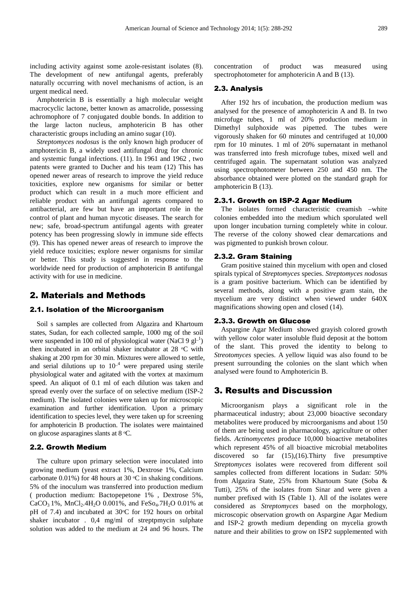including activity against some azole-resistant isolates (8). The development of new antifungal agents, preferably naturally occurring with novel mechanisms of action, is an urgent medical need.

Amphotericin B is essentially a high molecular weight macrocyclic lactone, better known as amacrolide, possessing achromophore of 7 conjugated double bonds. In addition to the large lacton nucleus, amphotericin B has other characteristic groups including an amino sugar (10).

*Streptomyces nodosus* is the only known high producer of amphotericin B, a widely used antifungal drug for chronic and systemic fungal infections. (11). In 1961 and 1962 , two patents were granted to Ducher and his team (12) This has opened newer areas of research to improve the yield reduce toxicities, explore new organisms for similar or better product which can result in a much more efficient and reliable product with an antifungal agents compared to antibacterial, are few but have an important role in the control of plant and human mycotic diseases. The search for new; safe, broad-spectrum antifungal agents with greater potency has been progressing slowly in immune side effects (9). This has opened newer areas of research to improve the yield reduce toxicities; explore newer organisms for similar or better. This study is suggested in response to the worldwide need for production of amphotericin B antifungal activity with for use in medicine.

### 2. Materials and Methods

#### 2.1. Isolation of the Microorganism

Soil s samples are collected from Algazira and Khartoum states, Sudan, for each collected sample, 1000 mg of the soil were suspended in 100 ml of physiological water (NaCl 9  $gl<sup>-1</sup>$ ) then incubated in an orbital shaker incubator at  $28 \text{ °C}$  with shaking at 200 rpm for 30 min. Mixtures were allowed to settle, and serial dilutions up to  $10^{-4}$  were prepared using sterile physiological water and agitated with the vortex at maximum speed. An aliquot of 0.1 ml of each dilution was taken and spread evenly over the surface of on selective medium (ISP-2 medium). The isolated colonies were taken up for microscopic examination and further identification. Upon a primary identification to species level, they were taken up for screening for amphotericin B production. The isolates were maintained on glucose asparagines slants at  $8 °C$ .

#### 2.2. Growth Medium

The culture upon primary selection were inoculated into growing medium (yeast extract 1%, Dextrose 1%, Calcium carbonate 0.01%) for 48 hours at 30  $\degree$ C in shaking conditions. 5% of the inoculum was transferred into production medium ( production medium: Bactopepetone 1% , Dextrose 5%, CaCO<sub>3</sub> 1%, MnCl<sub>2</sub>.4H<sub>2</sub>O 0.001%, and FeSo<sub>4</sub>.7H<sub>2</sub>O 0.01% at pH of 7.4) and incubated at  $30^{\circ}$ C for 192 hours on orbital shaker incubator . 0,4 mg/ml of streptpmycin sulphate solution was added to the medium at 24 and 96 hours. The

concentration of product was measured using spectrophotometer for amphotericin A and B (13).

#### 2.3. Analysis

After 192 hrs of incubation, the production medium was analysed for the presence of amophotericin A and B. In two microfuge tubes, 1 ml of 20% production medium in Dimethyl sulphoxide was pipetted. The tubes were vigorously shaken for 60 minutes and centrifuged at 10,000 rpm for 10 minutes. 1 ml of 20% supernatant in methanol was transferred into fresh microfuge tubes, mixed well and centrifuged again. The supernatant solution was analyzed using spectrophotometer between 250 and 450 nm. The absorbance obtained were plotted on the standard graph for amphotericin B (13).

#### 2.3.1. Growth on ISP-2 Agar Medium

The isolates formed characteristic creamish –white colonies embedded into the medium which sporulated well upon longer incubation turning completely white in colour. The reverse of the colony showed clear demarcations and was pigmented to punkish brown colour.

#### 2.3.2. Gram Staining

Gram positive stained thin mycelium with open and closed spirals typical of *Streptomyces* species. *Streptomyces nodosus* is a gram positive bacterium. Which can be identified by several methods, along with a positive gram stain, the mycelium are very distinct when viewed under 640X magnifications showing open and closed (14).

#### 2.3.3. Growth on Glucose

Aspargine Agar Medium showed grayish colored growth with yellow color water insoluble fluid deposit at the bottom of the slant. This proved the identity to belong to *Streotomyces* species. A yellow liquid was also found to be present surrounding the colonies on the slant which when analysed were found to Amphotericin B.

#### 3. Results and Discussion

Microorganism plays a significant role in the pharmaceutical industry; about 23,000 bioactive secondary metabolites were produced by microorganisms and about 150 of them are being used in pharmacology, agriculture or other fields. *Actinomycetes* produce 10,000 bioactive metabolites which represent 45% of all bioactive microbial metabolites discovered so far (15),(16).Thirty five presumptive *Streptomyces* isolates were recovered from different soil samples collected from different locations in Sudan: 50% from Algazira State, 25% from Khartoum State (Soba & Tutti), 25% of the isolates from Sinar and were given a number prefixed with IS (Table 1). All of the isolates were considered as *Streptomyces* based on the morphology, microscopic observation growth on Aspargine Agar Medium and ISP-2 growth medium depending on mycelia growth nature and their abilities to grow on ISP2 supplemented with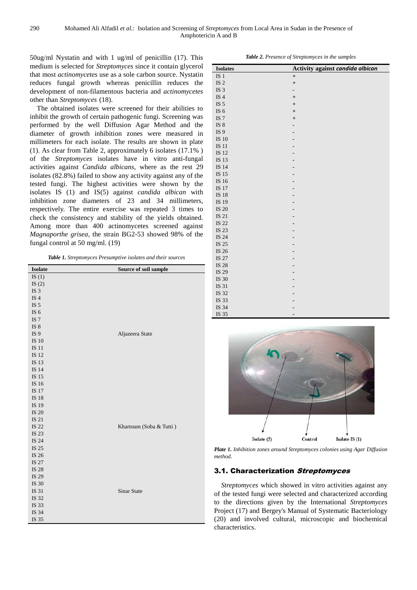50ug/ml Nystatin and with 1 ug/ml of penicillin (17). This medium is selected for *Streptomyces* since it contain glycerol that most *actinomycetes* use as a sole carbon source. Nystatin reduces fungal growth whereas penicillin reduces the development of non-filamentous bacteria and *actinomycetes*  other than *Streptomyces* (18).

The obtained isolates were screened for their abilities to inhibit the growth of certain pathogenic fungi. Screening was performed by the well Diffusion Agar Method and the diameter of growth inhibition zones were measured in millimeters for each isolate. The results are shown in plate (1). As clear from Table 2, approximately 6 isolates (17.1% ) of the *Streptomyces* isolates have in vitro anti-fungal activities against *Candida albicans*, where as the rest 29 isolates (82.8%) failed to show any activity against any of the tested fungi. The highest activities were shown by the isolates IS (1) and IS(5) against *candida albican* with inhibition zone diameters of 23 and 34 millimeters, respectively. The entire exercise was repeated 3 times to check the consistency and stability of the yields obtained. Among more than 400 actinomycetes screened against *Magnaporthe grisea*, the strain BG2-53 showed 98% of the fungal control at 50 mg/ml. (19)

*Table 1. Streptomyces Presumptive isolates and their sources*

| <b>Isolate</b>  | Source of soil sample   |
|-----------------|-------------------------|
| IS $(1)$        |                         |
| IS $(2)$        |                         |
| IS <sub>3</sub> |                         |
| IS <sub>4</sub> |                         |
| IS $5$          |                         |
| IS $6$          |                         |
| IS $7\,$        |                         |
| IS $8\,$        |                         |
| IS <sub>9</sub> | Aljazeera State         |
| IS $10$         |                         |
| <b>IS 11</b>    |                         |
| IS 12           |                         |
| IS 13           |                         |
| IS 14           |                         |
| IS 15           |                         |
| IS 16           |                         |
| IS 17           |                         |
| IS 18           |                         |
| IS 19           |                         |
| IS 20           |                         |
| IS 21           |                         |
| IS 22           | Khartoum (Soba & Tutti) |
| IS 23           |                         |
| IS 24           |                         |
| IS 25           |                         |
| IS 26           |                         |
| IS 27           |                         |
| IS 28           |                         |
| IS 29           |                         |
| IS 30           |                         |
| IS 31           | <b>Sinar State</b>      |
| IS 32           |                         |
| IS 33           |                         |
| IS 34           |                         |
| IS 35           |                         |

*Table 2. Presence of Streptomyces in the samples* 

| <b>Isolates</b> | Activity against candida albican |
|-----------------|----------------------------------|
| IS <sub>1</sub> | $\qquad \qquad +$                |
| IS $2$          | $^{+}$                           |
| IS <sub>3</sub> | -                                |
| IS $4$          | $\ddot{}$                        |
| IS $5$          | $\ddot{}$                        |
| IS $6$          | $\ddot{}$                        |
| IS <sub>7</sub> | $^{+}$                           |
| IS $8$          |                                  |
| IS <sub>9</sub> |                                  |
| IS 10           |                                  |
| IS 11           |                                  |
| IS 12           |                                  |
| IS 13           |                                  |
| IS 14           |                                  |
| IS 15           |                                  |
| IS 16           |                                  |
| IS 17           |                                  |
| IS 18           |                                  |
| IS 19           |                                  |
| IS 20           |                                  |
| IS 21           |                                  |
| IS 22           |                                  |
| IS 23           |                                  |
| IS 24           |                                  |
| IS 25           |                                  |
| IS 26           |                                  |
| IS 27           |                                  |
| IS 28           |                                  |
| IS 29           |                                  |
| IS 30           |                                  |
| IS 31           |                                  |
| IS 32           |                                  |
| IS 33           |                                  |
| IS 34           |                                  |
| IS 35           |                                  |



*Plate 1. Inhibition zones around Streptomyces colonies using Agar Diffusion method.* 

### 3.1. Characterization Streptomyces

*Streptomyces* which showed in vitro activities against any of the tested fungi were selected and characterized according to the directions given by the International *Streptomyces* Project (17) and Bergey's Manual of Systematic Bacteriology (20) and involved cultural, microscopic and biochemical characteristics.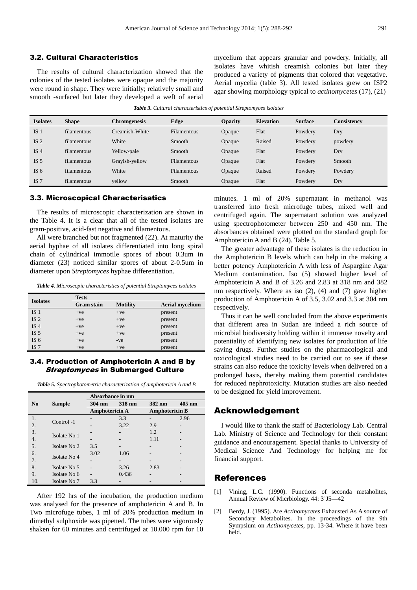The results of cultural characterization showed that the colonies of the tested isolates were opaque and the majority were round in shape. They were initially; relatively small and smooth -surfaced but later they developed a weft of aerial mycelium that appears granular and powdery. Initially, all isolates have whitish creamish colonies but later they produced a variety of pigments that colored that vegetative. Aerial mycelia (table 3). All tested isolates grew on ISP2 agar showing morphology typical to *actinomycetes* (17), (21)

*Table 3. Cultural characteristics of potential Streptomyces isolates* 

| <b>Isolates</b> | <b>Shape</b> | <b>Chromgenesis</b> | Edge               | <b>Opacity</b> | <b>Elevation</b> | <b>Surface</b> | <b>Consistency</b> |
|-----------------|--------------|---------------------|--------------------|----------------|------------------|----------------|--------------------|
| IS <sub>1</sub> | filamentous  | Creamish-White      | Filamentous        | Opaque         | Flat             | Powdery        | Dry                |
| IS <sub>2</sub> | filamentous  | White               | Smooth             | Opaque         | Raised           | Powdery        | powdery            |
| IS <sub>4</sub> | filamentous  | Yellow-pale         | Smooth             | Opaque         | Flat             | Powdery        | Dry                |
| IS <sub>5</sub> | filamentous  | Grayish-yellow      | Filamentous        | Opaque         | Flat             | Powdery        | Smooth             |
| IS $6$          | filamentous  | White               | <b>Filamentous</b> | Opaque         | Raised           | Powdery        | Powdery            |
| IS <sub>7</sub> | filamentous  | yellow              | Smooth             | Opaque         | Flat             | Powdery        | Dry                |

3.3. Microscopical Characterisatics

The results of microscopic characterization are shown in the Table 4. It is a clear that all of the tested isolates are gram-positive, acid-fast negative and filamentous.

All were branched but not fragmented (22). At maturity the aerial hyphae of all isolates differentiated into long spiral chain of cylindrical immotile spores of about 0.3um in diameter (23) noticed similar spores of about 2-0.5um in diameter upon *Streptomyces* hyphae differentiation.

*Table 4. Microscopic characteristics of potential Streptomyces isolates* 

| <b>Isolates</b> | <b>Tests</b>      |                 |                        |  |
|-----------------|-------------------|-----------------|------------------------|--|
|                 | <b>Gram</b> stain | <b>Motility</b> | <b>Aerial mycelium</b> |  |
| IS <sub>1</sub> | $+ve$             | $+ve$           | present                |  |
| IS <sub>2</sub> | $+ve$             | $+ve$           | present                |  |
| IS <sub>4</sub> | $+ve$             | $+ve$           | present                |  |
| IS <sub>5</sub> | $+ve$             | $+ve$           | present                |  |
| IS $6$          | $+ve$             | $-ve$           | present                |  |
| IS <sub>7</sub> | $+ve$             | $+ve$           | present                |  |

#### 3.4. Production of Amphotericin A and B by **Streptomyces in Submerged Culture**

*Table 5. Spectrophotometric characterization of amphotericin A and B* 

|                  |               | Absorbance in nm |        |                       |          |  |
|------------------|---------------|------------------|--------|-----------------------|----------|--|
| No               | <b>Sample</b> | 304 nm           | 318 nm | 382 nm                | $405$ nm |  |
|                  |               | Amphotericin A   |        | <b>Amphotericin B</b> |          |  |
| 1.               | Control -1    |                  | 3.3    |                       | 2.96     |  |
| $\overline{2}$ . |               |                  | 3.22   | 2.9                   | ۰        |  |
| 3.               | Isolate No 1  |                  |        | 1.2                   |          |  |
| 4.               |               |                  |        | 1.11                  |          |  |
| 5.               | Isolate No 2  | 3.5              |        | -                     |          |  |
| 6.               | Isolate No 4  | 3.02             | 1.06   |                       |          |  |
| 7.               |               | $\overline{a}$   |        |                       |          |  |
| 8.               | Isolate No 5  |                  | 3.26   | 2.83                  |          |  |
| 9.               | Isolate No 6  |                  | 0.436  |                       |          |  |
| 10.              | Isolate No 7  | 3.3              |        |                       |          |  |

After 192 hrs of the incubation, the production medium was analysed for the presence of amphotericin A and B. In Two microfuge tubes, 1 ml of 20% production medium in dimethyl sulphoxide was pipetted. The tubes were vigorously shaken for 60 minutes and centrifuged at 10.000 rpm for 10 minutes. 1 ml of 20% supernatant in methanol was transferred into fresh microfuge tubes, mixed well and centrifuged again. The supernatant solution was analyzed using spectrophotometer between 250 and 450 nm. The absorbances obtained were plotted on the standard graph for Amphotericin A and B (24). Table 5.

The greater advantage of these isolates is the reduction in the Amphotericin B levels which can help in the making a better potency Amphotericin A with less of Aspargine Agar Medium contamination. Iso (5) showed higher level of Amphotericin A and B of 3.26 and 2.83 at 318 nm and 382 nm respectively. Where as iso (2), (4) and (7) gave higher production of Amphotericin A of 3.5, 3.02 and 3.3 at 304 nm respectively.

Thus it can be well concluded from the above experiments that different area in Sudan are indeed a rich source of microbial biodiversity holding within it immense novelty and potentiality of identifying new isolates for production of life saving drugs. Further studies on the pharmacological and toxicological studies need to be carried out to see if these strains can also reduce the toxicity levels when delivered on a prolonged basis, thereby making them potential candidates for reduced nephrotoxicity. Mutation studies are also needed to be designed for yield improvement.

#### Acknowledgement

I would like to thank the staff of Bacteriology Lab. Central Lab. Ministry of Science and Technology for their constant guidance and encouragement. Special thanks to University of Medical Science And Technology for helping me for financial support.

#### References

- [1] Vining, L.C. (1990). Functions of seconda metaholites, Annual Review of Micrbiology. 44: 3'J5—42
- [2] Berdy, J. (1995). Are *Actinomycetes* Exhausted As A source of Secondary Metabolites. In the proceedings of the 9th Sympsium on *Actinomycetes*, pp. 13-34. Where it have been held.